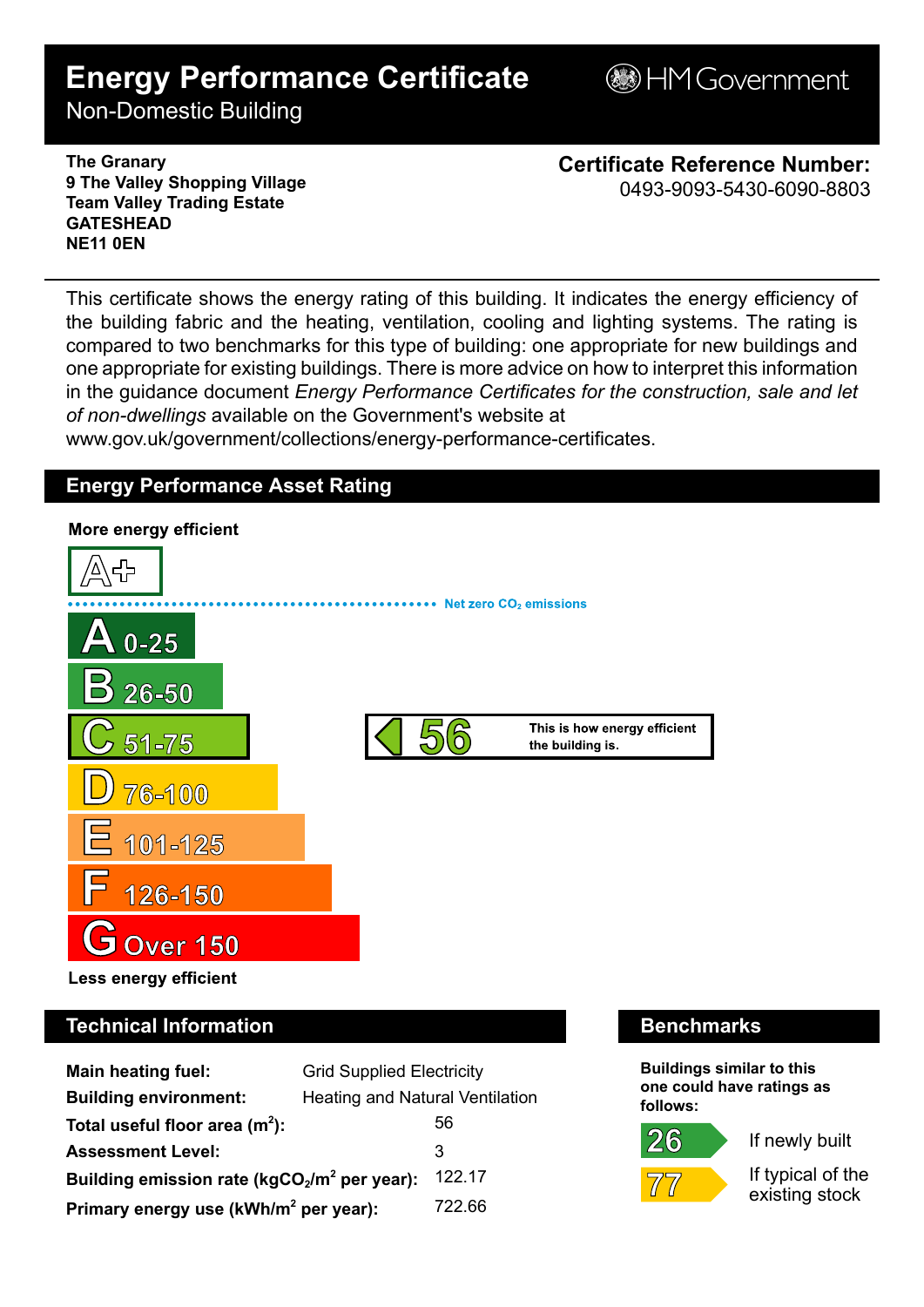# **Energy Performance Certificate**

**BHM Government** 

Non-Domestic Building

**The Granary 9 The Valley Shopping Village Team Valley Trading Estate GATESHEAD NE11 0EN**

**Certificate Reference Number:** 0493-9093-5430-6090-8803

This certificate shows the energy rating of this building. It indicates the energy efficiency of the building fabric and the heating, ventilation, cooling and lighting systems. The rating is compared to two benchmarks for this type of building: one appropriate for new buildings and one appropriate for existing buildings. There is more advice on how to interpret this information in the guidance document *Energy Performance Certificates for the construction, sale and let of non-dwellings* available on the Government's website at

www.gov.uk/government/collections/energy-performance-certificates.

# **Energy Performance Asset Rating**



# **Technical Information Benchmarks**

| <b>Main heating fuel:</b>                         | <b>Grid Supplied Electricity</b>       |        |
|---------------------------------------------------|----------------------------------------|--------|
| <b>Building environment:</b>                      | <b>Heating and Natural Ventilation</b> |        |
| Total useful floor area $(m2)$ :                  |                                        | 56     |
| <b>Assessment Level:</b>                          |                                        | 3      |
| Building emission rate ( $kgCO2/m2$ per year):    |                                        | 122.17 |
| Primary energy use (kWh/m <sup>2</sup> per year): |                                        | 722.66 |

**Buildings similar to this one could have ratings as follows:**



 $26$ 

If newly built

If typical of the existing stock